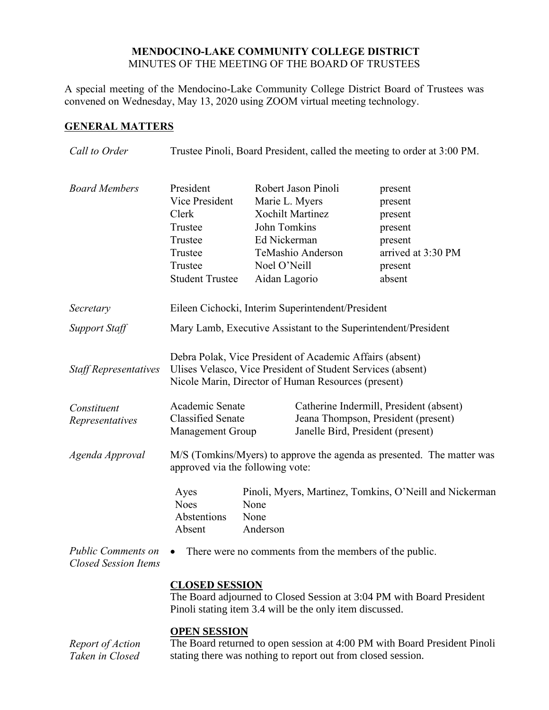## **MENDOCINO-LAKE COMMUNITY COLLEGE DISTRICT** MINUTES OF THE MEETING OF THE BOARD OF TRUSTEES

A special meeting of the Mendocino-Lake Community College District Board of Trustees was convened on Wednesday, May 13, 2020 using ZOOM virtual meeting technology.

## **GENERAL MATTERS**

| Call to Order                                            | Trustee Pinoli, Board President, called the meeting to order at 3:00 PM.                                                                                                       |                                                                                                                                                        |  |                                                                                                |  |
|----------------------------------------------------------|--------------------------------------------------------------------------------------------------------------------------------------------------------------------------------|--------------------------------------------------------------------------------------------------------------------------------------------------------|--|------------------------------------------------------------------------------------------------|--|
| <b>Board Members</b>                                     | President<br>Vice President<br>Clerk<br>Trustee<br>Trustee<br>Trustee<br>Trustee<br><b>Student Trustee</b>                                                                     | Robert Jason Pinoli<br>Marie L. Myers<br><b>Xochilt Martinez</b><br>John Tomkins<br>Ed Nickerman<br>TeMashio Anderson<br>Noel O'Neill<br>Aidan Lagorio |  | present<br>present<br>present<br>present<br>present<br>arrived at 3:30 PM<br>present<br>absent |  |
| Secretary                                                | Eileen Cichocki, Interim Superintendent/President                                                                                                                              |                                                                                                                                                        |  |                                                                                                |  |
| <b>Support Staff</b>                                     | Mary Lamb, Executive Assistant to the Superintendent/President                                                                                                                 |                                                                                                                                                        |  |                                                                                                |  |
| <b>Staff Representatives</b>                             | Debra Polak, Vice President of Academic Affairs (absent)<br>Ulises Velasco, Vice President of Student Services (absent)<br>Nicole Marin, Director of Human Resources (present) |                                                                                                                                                        |  |                                                                                                |  |
| Constituent<br>Representatives                           | Academic Senate<br><b>Classified Senate</b><br>Janelle Bird, President (present)<br><b>Management Group</b>                                                                    |                                                                                                                                                        |  | Catherine Indermill, President (absent)<br>Jeana Thompson, President (present)                 |  |
| Agenda Approval                                          | M/S (Tomkins/Myers) to approve the agenda as presented. The matter was<br>approved via the following vote:                                                                     |                                                                                                                                                        |  |                                                                                                |  |
|                                                          | Pinoli, Myers, Martinez, Tomkins, O'Neill and Nickerman<br>Ayes<br><b>Noes</b><br>None<br>Abstentions<br>None<br>Anderson<br>Absent                                            |                                                                                                                                                        |  |                                                                                                |  |
| <b>Public Comments on</b><br><b>Closed Session Items</b> | There were no comments from the members of the public.                                                                                                                         |                                                                                                                                                        |  |                                                                                                |  |
|                                                          | <b>CLOSED SESSION</b><br>The Board adjourned to Closed Session at 3:04 PM with Board President<br>Pinoli stating item 3.4 will be the only item discussed.                     |                                                                                                                                                        |  |                                                                                                |  |
| Report of Action                                         | <b>OPEN SESSION</b><br>The Board returned to open session at 4:00 PM with Board President Pinoli                                                                               |                                                                                                                                                        |  |                                                                                                |  |

*Taken in Closed*  The Board returned to open session at 4:00 PM with Board President Pinoli stating there was nothing to report out from closed session.